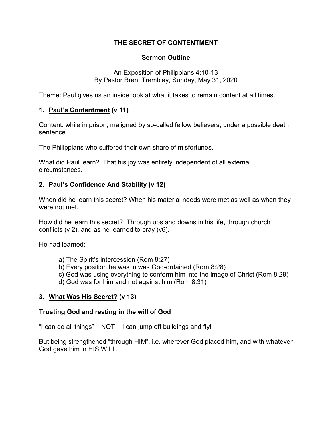### **THE SECRET OF CONTENTMENT**

## **Sermon Outline**

An Exposition of Philippians 4:10-13 By Pastor Brent Tremblay, Sunday, May 31, 2020

Theme: Paul gives us an inside look at what it takes to remain content at all times.

## **1. Paul's Contentment (v 11)**

Content: while in prison, maligned by so-called fellow believers, under a possible death sentence

The Philippians who suffered their own share of misfortunes.

What did Paul learn? That his joy was entirely independent of all external circumstances.

# **2. Paul's Confidence And Stability (v 12)**

When did he learn this secret? When his material needs were met as well as when they were not met.

How did he learn this secret? Through ups and downs in his life, through church conflicts (v 2), and as he learned to pray (v6).

He had learned:

- a) The Spirit's intercession (Rom 8:27)
- b) Every position he was in was God-ordained (Rom 8:28)
- c) God was using everything to conform him into the image of Christ (Rom 8:29)
- d) God was for him and not against him (Rom 8:31)

# **3. What Was His Secret? (v 13)**

#### **Trusting God and resting in the will of God**

"I can do all things"  $-$  NOT  $-$  I can jump off buildings and fly!

But being strengthened "through HIM", i.e. wherever God placed him, and with whatever God gave him in HIS WILL.